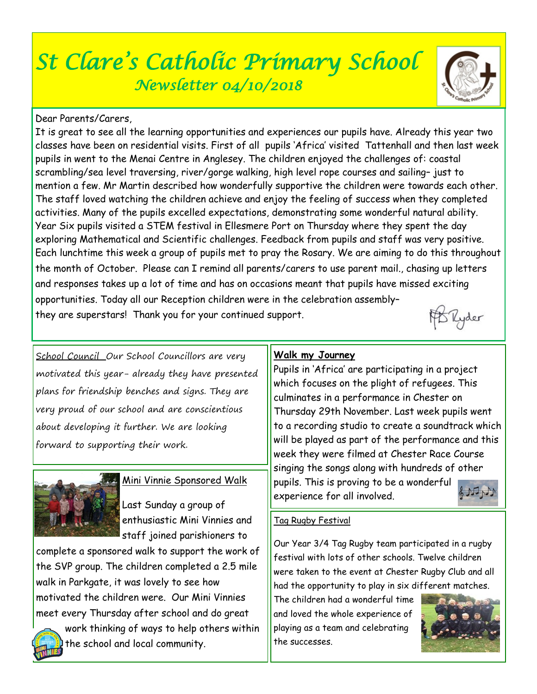# *St Clare's Catholic Primary School Newsletter 04/10/2018*

# Dear Parents/Carers,

It is great to see all the learning opportunities and experiences our pupils have. Already this year two classes have been on residential visits. First of all pupils 'Africa' visited Tattenhall and then last week pupils in went to the Menai Centre in Anglesey. The children enjoyed the challenges of: coastal scrambling/sea level traversing, river/gorge walking, high level rope courses and sailing– just to mention a few. Mr Martin described how wonderfully supportive the children were towards each other. The staff loved watching the children achieve and enjoy the feeling of success when they completed activities. Many of the pupils excelled expectations, demonstrating some wonderful natural ability. Year Six pupils visited a STEM festival in Ellesmere Port on Thursday where they spent the day exploring Mathematical and Scientific challenges. Feedback from pupils and staff was very positive. Each lunchtime this week a group of pupils met to pray the Rosary. We are aiming to do this throughout the month of October. Please can I remind all parents/carers to use parent mail., chasing up letters and responses takes up a lot of time and has on occasions meant that pupils have missed exciting opportunities. Today all our Reception children were in the celebration assembly– Ryder they are superstars! Thank you for your continued support.

School Council Our School Councillors are very motivated this year- already they have presented plans for friendship benches and signs. They are very proud of our school and are conscientious about developing it further. We are looking forward to supporting their work.



## Mini Vinnie Sponsored Walk

Last Sunday a group of enthusiastic Mini Vinnies and staff joined parishioners to

complete a sponsored walk to support the work of the SVP group. The children completed a 2.5 mile walk in Parkgate, it was lovely to see how motivated the children were. Our Mini Vinnies meet every Thursday after school and do great



work thinking of ways to help others within the school and local community.

## **Walk my Journey**

Pupils in 'Africa' are participating in a project which focuses on the plight of refugees. This culminates in a performance in Chester on Thursday 29th November. Last week pupils went to a recording studio to create a soundtrack which will be played as part of the performance and this week they were filmed at Chester Race Course singing the songs along with hundreds of other pupils. This is proving to be a wonderful  $6250$ experience for all involved.



## Tag Rugby Festival

Our Year 3/4 Tag Rugby team participated in a rugby festival with lots of other schools. Twelve children were taken to the event at Chester Rugby Club and all had the opportunity to play in six different matches.

The children had a wonderful time and loved the whole experience of playing as a team and celebrating the successes.